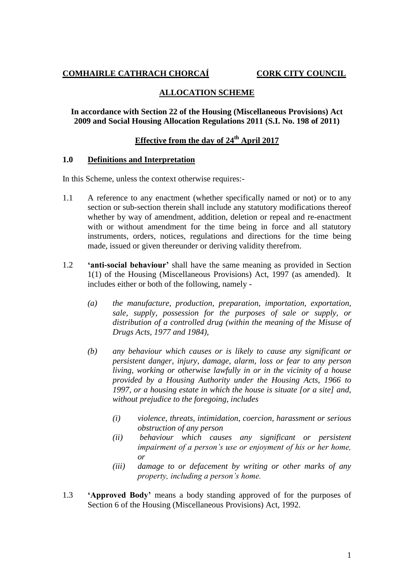# **COMHAIRLE CATHRACH CHORCAÍ CORK CITY COUNCIL**

# **ALLOCATION SCHEME**

#### **In accordance with Section 22 of the Housing (Miscellaneous Provisions) Act 2009 and Social Housing Allocation Regulations 2011 (S.I. No. 198 of 2011)**

# **Effective from the day of 24th April 2017**

#### **1.0 Definitions and Interpretation**

In this Scheme, unless the context otherwise requires:-

- 1.1 A reference to any enactment (whether specifically named or not) or to any section or sub-section therein shall include any statutory modifications thereof whether by way of amendment, addition, deletion or repeal and re-enactment with or without amendment for the time being in force and all statutory instruments, orders, notices, regulations and directions for the time being made, issued or given thereunder or deriving validity therefrom.
- 1.2 **'anti-social behaviour'** shall have the same meaning as provided in Section 1(1) of the Housing (Miscellaneous Provisions) Act, 1997 (as amended). It includes either or both of the following, namely -
	- *(a) the manufacture, production, preparation, importation, exportation, sale, supply, possession for the purposes of sale or supply, or distribution of a controlled drug (within the meaning of the Misuse of Drugs Acts, 1977 and 1984),*
	- *(b) any behaviour which causes or is likely to cause any significant or persistent danger, injury, damage, alarm, loss or fear to any person living, working or otherwise lawfully in or in the vicinity of a house provided by a Housing Authority under the Housing Acts, 1966 to 1997, or a housing estate in which the house is situate [or a site] and, without prejudice to the foregoing, includes*
		- *(i) violence, threats, intimidation, coercion, harassment or serious obstruction of any person*
		- *(ii) behaviour which causes any significant or persistent impairment of a person's use or enjoyment of his or her home, or*
		- *(iii) damage to or defacement by writing or other marks of any property, including a person's home.*
- 1.3 **'Approved Body'** means a body standing approved of for the purposes of Section 6 of the Housing (Miscellaneous Provisions) Act, 1992.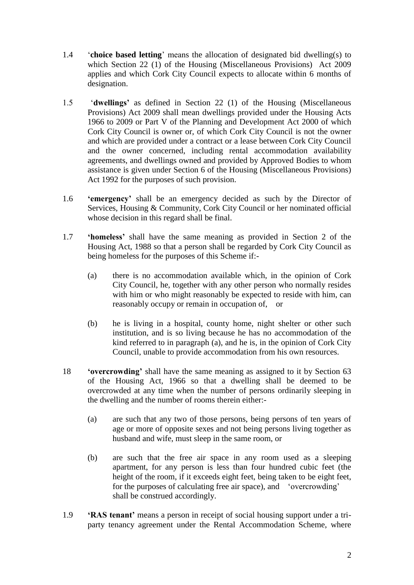- 1.4 '**choice based letting**' means the allocation of designated bid dwelling(s) to which Section 22 (1) of the Housing (Miscellaneous Provisions) Act 2009 applies and which Cork City Council expects to allocate within 6 months of designation.
- 1.5 '**dwellings'** as defined in Section 22 (1) of the Housing (Miscellaneous Provisions) Act 2009 shall mean dwellings provided under the Housing Acts 1966 to 2009 or Part V of the Planning and Development Act 2000 of which Cork City Council is owner or, of which Cork City Council is not the owner and which are provided under a contract or a lease between Cork City Council and the owner concerned, including rental accommodation availability agreements, and dwellings owned and provided by Approved Bodies to whom assistance is given under Section 6 of the Housing (Miscellaneous Provisions) Act 1992 for the purposes of such provision.
- 1.6 **'emergency'** shall be an emergency decided as such by the Director of Services, Housing & Community, Cork City Council or her nominated official whose decision in this regard shall be final.
- 1.7 **'homeless'** shall have the same meaning as provided in Section 2 of the Housing Act, 1988 so that a person shall be regarded by Cork City Council as being homeless for the purposes of this Scheme if:-
	- (a) there is no accommodation available which, in the opinion of Cork City Council, he, together with any other person who normally resides with him or who might reasonably be expected to reside with him, can reasonably occupy or remain in occupation of, or
	- (b) he is living in a hospital, county home, night shelter or other such institution, and is so living because he has no accommodation of the kind referred to in paragraph (a), and he is, in the opinion of Cork City Council, unable to provide accommodation from his own resources.
- 18 **'overcrowding'** shall have the same meaning as assigned to it by Section 63 of the Housing Act, 1966 so that a dwelling shall be deemed to be overcrowded at any time when the number of persons ordinarily sleeping in the dwelling and the number of rooms therein either:-
	- (a) are such that any two of those persons, being persons of ten years of age or more of opposite sexes and not being persons living together as husband and wife, must sleep in the same room, or
	- (b) are such that the free air space in any room used as a sleeping apartment, for any person is less than four hundred cubic feet (the height of the room, if it exceeds eight feet, being taken to be eight feet, for the purposes of calculating free air space), and 'overcrowding' shall be construed accordingly.
- 1.9 **'RAS tenant'** means a person in receipt of social housing support under a triparty tenancy agreement under the Rental Accommodation Scheme, where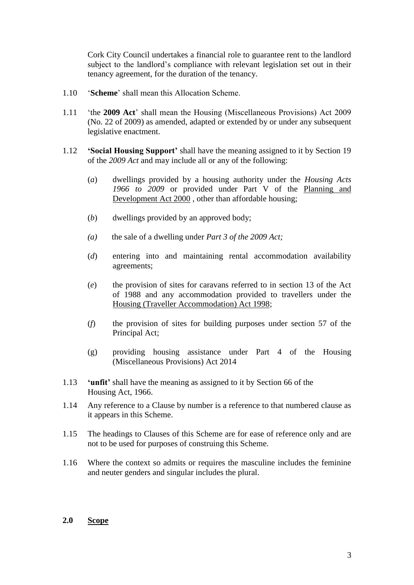Cork City Council undertakes a financial role to guarantee rent to the landlord subject to the landlord's compliance with relevant legislation set out in their tenancy agreement, for the duration of the tenancy.

- 1.10 '**Scheme**' shall mean this Allocation Scheme.
- 1.11 'the **2009 Act**' shall mean the Housing (Miscellaneous Provisions) Act 2009 (No. 22 of 2009) as amended, adapted or extended by or under any subsequent legislative enactment.
- 1.12 **'Social Housing Support'** shall have the meaning assigned to it by Section 19 of the *2009 Act* and may include all or any of the following:
	- (*a*) dwellings provided by a housing authority under the *Housing Acts 1966 to 2009* or provided under Part V of the [Planning and](http://www.irishstatutebook.ie/2000/en/act/pub/0030/index.html)  [Development Act 2000](http://www.irishstatutebook.ie/2000/en/act/pub/0030/index.html) , other than affordable housing;
	- (*b*) dwellings provided by an approved body;
	- *(a)* the sale of a dwelling under *Part 3 of the 2009 Act;*
	- (*d*) entering into and maintaining rental accommodation availability agreements;
	- (*e*) the provision of sites for caravans referred to in section 13 of the Act of 1988 and any accommodation provided to travellers under the [Housing \(Traveller Accommodation\) Act 1998;](http://www.irishstatutebook.ie/1998/en/act/pub/0033/index.html)
	- (*f*) the provision of sites for building purposes under section 57 of the Principal Act;
	- (g) providing housing assistance under Part 4 of the Housing (Miscellaneous Provisions) Act 2014
- 1.13 **'unfit'** shall have the meaning as assigned to it by Section 66 of the Housing Act, 1966.
- 1.14 Any reference to a Clause by number is a reference to that numbered clause as it appears in this Scheme.
- 1.15 The headings to Clauses of this Scheme are for ease of reference only and are not to be used for purposes of construing this Scheme.
- 1.16 Where the context so admits or requires the masculine includes the feminine and neuter genders and singular includes the plural.

#### **2.0 Scope**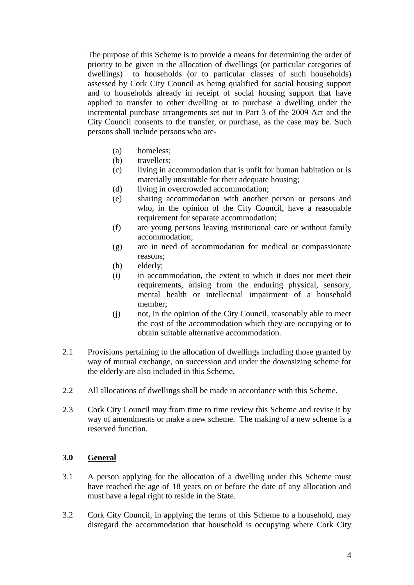The purpose of this Scheme is to provide a means for determining the order of priority to be given in the allocation of dwellings (or particular categories of dwellings) to households (or to particular classes of such households) assessed by Cork City Council as being qualified for social housing support and to households already in receipt of social housing support that have applied to transfer to other dwelling or to purchase a dwelling under the incremental purchase arrangements set out in Part 3 of the 2009 Act and the City Council consents to the transfer, or purchase, as the case may be. Such persons shall include persons who are-

- (a) homeless;
- (b) travellers;
- (c) living in accommodation that is unfit for human habitation or is materially unsuitable for their adequate housing:
- (d) living in overcrowded accommodation;
- (e) sharing accommodation with another person or persons and who, in the opinion of the City Council, have a reasonable requirement for separate accommodation;
- (f) are young persons leaving institutional care or without family accommodation;
- (g) are in need of accommodation for medical or compassionate reasons;
- (h) elderly;
- (i) in accommodation, the extent to which it does not meet their requirements, arising from the enduring physical, sensory, mental health or intellectual impairment of a household member;
- (j) not, in the opinion of the City Council, reasonably able to meet the cost of the accommodation which they are occupying or to obtain suitable alternative accommodation.
- 2.1 Provisions pertaining to the allocation of dwellings including those granted by way of mutual exchange, on succession and under the downsizing scheme for the elderly are also included in this Scheme.
- 2.2 All allocations of dwellings shall be made in accordance with this Scheme.
- 2.3 Cork City Council may from time to time review this Scheme and revise it by way of amendments or make a new scheme. The making of a new scheme is a reserved function.

# **3.0 General**

- 3.1 A person applying for the allocation of a dwelling under this Scheme must have reached the age of 18 years on or before the date of any allocation and must have a legal right to reside in the State.
- 3.2 Cork City Council, in applying the terms of this Scheme to a household, may disregard the accommodation that household is occupying where Cork City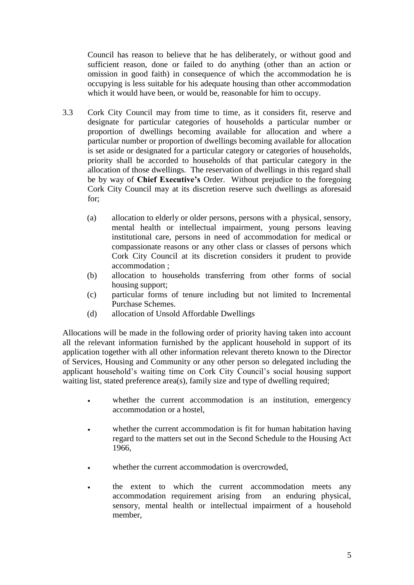Council has reason to believe that he has deliberately, or without good and sufficient reason, done or failed to do anything (other than an action or omission in good faith) in consequence of which the accommodation he is occupying is less suitable for his adequate housing than other accommodation which it would have been, or would be, reasonable for him to occupy.

- 3.3 Cork City Council may from time to time, as it considers fit, reserve and designate for particular categories of households a particular number or proportion of dwellings becoming available for allocation and where a particular number or proportion of dwellings becoming available for allocation is set aside or designated for a particular category or categories of households, priority shall be accorded to households of that particular category in the allocation of those dwellings. The reservation of dwellings in this regard shall be by way of **Chief Executive's** Order. Without prejudice to the foregoing Cork City Council may at its discretion reserve such dwellings as aforesaid for;
	- (a) allocation to elderly or older persons, persons with a physical, sensory, mental health or intellectual impairment, young persons leaving institutional care, persons in need of accommodation for medical or compassionate reasons or any other class or classes of persons which Cork City Council at its discretion considers it prudent to provide accommodation ;
	- (b) allocation to households transferring from other forms of social housing support;
	- (c) particular forms of tenure including but not limited to Incremental Purchase Schemes.
	- (d) allocation of Unsold Affordable Dwellings

Allocations will be made in the following order of priority having taken into account all the relevant information furnished by the applicant household in support of its application together with all other information relevant thereto known to the Director of Services, Housing and Community or any other person so delegated including the applicant household's waiting time on Cork City Council's social housing support waiting list, stated preference area(s), family size and type of dwelling required;

- whether the current accommodation is an institution, emergency accommodation or a hostel,
- whether the current accommodation is fit for human habitation having regard to the matters set out in the Second Schedule to the Housing Act 1966,
- whether the current accommodation is overcrowded,
- the extent to which the current accommodation meets any accommodation requirement arising from an enduring physical, sensory, mental health or intellectual impairment of a household member,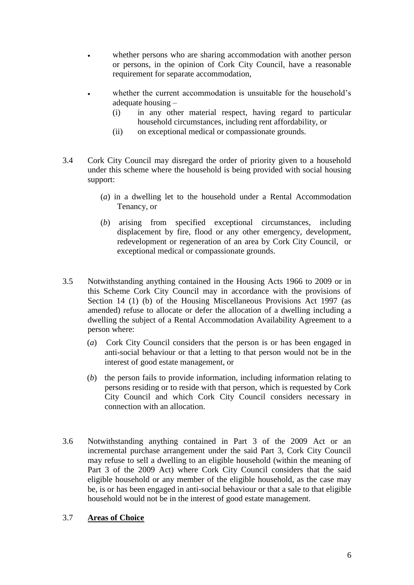- whether persons who are sharing accommodation with another person or persons, in the opinion of Cork City Council, have a reasonable requirement for separate accommodation,
- whether the current accommodation is unsuitable for the household's adequate housing –
	- (i) in any other material respect, having regard to particular household circumstances, including rent affordability, or
	- (ii) on exceptional medical or compassionate grounds.
- 3.4 Cork City Council may disregard the order of priority given to a household under this scheme where the household is being provided with social housing support:
	- (*a*) in a dwelling let to the household under a Rental Accommodation Tenancy, or
	- (*b*) arising from specified exceptional circumstances, including displacement by fire, flood or any other emergency, development, redevelopment or regeneration of an area by Cork City Council, or exceptional medical or compassionate grounds.
- 3.5 Notwithstanding anything contained in the Housing Acts 1966 to 2009 or in this Scheme Cork City Council may in accordance with the provisions of Section 14 (1) (b) of the Housing Miscellaneous Provisions Act 1997 (as amended) refuse to allocate or defer the allocation of a dwelling including a dwelling the subject of a Rental Accommodation Availability Agreement to a person where:
	- (*a*) Cork City Council considers that the person is or has been engaged in anti-social behaviour or that a letting to that person would not be in the interest of good estate management, or
	- (*b*) the person fails to provide information, including information relating to persons residing or to reside with that person, which is requested by Cork City Council and which Cork City Council considers necessary in connection with an allocation.
- 3.6 Notwithstanding anything contained in Part 3 of the 2009 Act or an incremental purchase arrangement under the said Part 3, Cork City Council may refuse to sell a dwelling to an eligible household (within the meaning of Part 3 of the 2009 Act) where Cork City Council considers that the said eligible household or any member of the eligible household, as the case may be, is or has been engaged in anti-social behaviour or that a sale to that eligible household would not be in the interest of good estate management.

# 3.7 **Areas of Choice**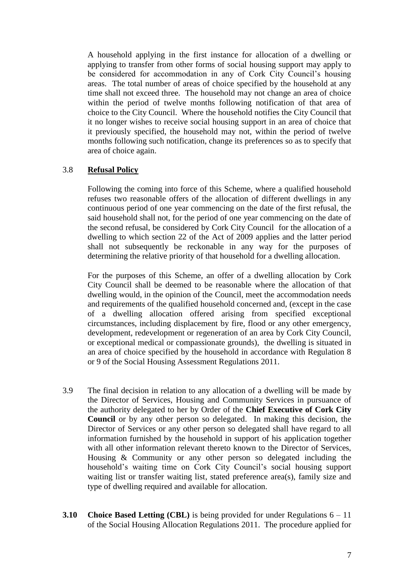A household applying in the first instance for allocation of a dwelling or applying to transfer from other forms of social housing support may apply to be considered for accommodation in any of Cork City Council's housing areas. The total number of areas of choice specified by the household at any time shall not exceed three. The household may not change an area of choice within the period of twelve months following notification of that area of choice to the City Council. Where the household notifies the City Council that it no longer wishes to receive social housing support in an area of choice that it previously specified, the household may not, within the period of twelve months following such notification, change its preferences so as to specify that area of choice again.

#### 3.8 **Refusal Policy**

Following the coming into force of this Scheme, where a qualified household refuses two reasonable offers of the allocation of different dwellings in any continuous period of one year commencing on the date of the first refusal, the said household shall not, for the period of one year commencing on the date of the second refusal, be considered by Cork City Council for the allocation of a dwelling to which section 22 of the Act of 2009 applies and the latter period shall not subsequently be reckonable in any way for the purposes of determining the relative priority of that household for a dwelling allocation.

For the purposes of this Scheme, an offer of a dwelling allocation by Cork City Council shall be deemed to be reasonable where the allocation of that dwelling would, in the opinion of the Council, meet the accommodation needs and requirements of the qualified household concerned and, (except in the case of a dwelling allocation offered arising from specified exceptional circumstances, including displacement by fire, flood or any other emergency, development, redevelopment or regeneration of an area by Cork City Council, or exceptional medical or compassionate grounds), the dwelling is situated in an area of choice specified by the household in accordance with Regulation 8 or 9 of the Social Housing Assessment Regulations 2011.

- 3.9 The final decision in relation to any allocation of a dwelling will be made by the Director of Services, Housing and Community Services in pursuance of the authority delegated to her by Order of the **Chief Executive of Cork City Council** or by any other person so delegated. In making this decision, the Director of Services or any other person so delegated shall have regard to all information furnished by the household in support of his application together with all other information relevant thereto known to the Director of Services, Housing & Community or any other person so delegated including the household's waiting time on Cork City Council's social housing support waiting list or transfer waiting list, stated preference area(s), family size and type of dwelling required and available for allocation.
- **3.10 Choice Based Letting (CBL)** is being provided for under Regulations 6 11 of the Social Housing Allocation Regulations 2011. The procedure applied for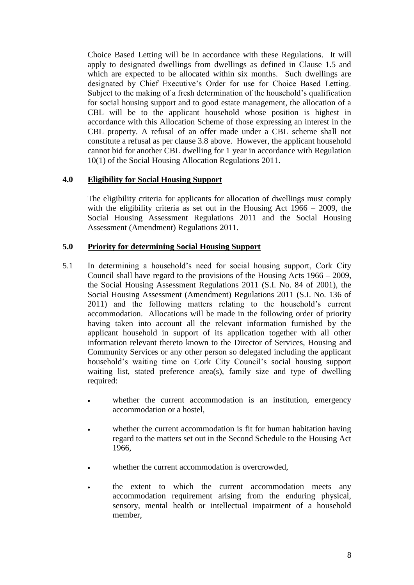Choice Based Letting will be in accordance with these Regulations. It will apply to designated dwellings from dwellings as defined in Clause 1.5 and which are expected to be allocated within six months. Such dwellings are designated by Chief Executive's Order for use for Choice Based Letting. Subject to the making of a fresh determination of the household's qualification for social housing support and to good estate management, the allocation of a CBL will be to the applicant household whose position is highest in accordance with this Allocation Scheme of those expressing an interest in the CBL property. A refusal of an offer made under a CBL scheme shall not constitute a refusal as per clause 3.8 above. However, the applicant household cannot bid for another CBL dwelling for 1 year in accordance with Regulation 10(1) of the Social Housing Allocation Regulations 2011.

# **4.0 Eligibility for Social Housing Support**

The eligibility criteria for applicants for allocation of dwellings must comply with the eligibility criteria as set out in the Housing Act 1966 – 2009, the Social Housing Assessment Regulations 2011 and the Social Housing Assessment (Amendment) Regulations 2011.

#### **5.0 Priority for determining Social Housing Support**

- 5.1 In determining a household's need for social housing support, Cork City Council shall have regard to the provisions of the Housing Acts 1966 – 2009, the Social Housing Assessment Regulations 2011 (S.I. No. 84 of 2001), the Social Housing Assessment (Amendment) Regulations 2011 (S.I. No. 136 of 2011) and the following matters relating to the household's current accommodation. Allocations will be made in the following order of priority having taken into account all the relevant information furnished by the applicant household in support of its application together with all other information relevant thereto known to the Director of Services, Housing and Community Services or any other person so delegated including the applicant household's waiting time on Cork City Council's social housing support waiting list, stated preference area(s), family size and type of dwelling required:
	- whether the current accommodation is an institution, emergency accommodation or a hostel,
	- whether the current accommodation is fit for human habitation having regard to the matters set out in the Second Schedule to the Housing Act 1966,
	- whether the current accommodation is overcrowded,
	- the extent to which the current accommodation meets any accommodation requirement arising from the enduring physical, sensory, mental health or intellectual impairment of a household member,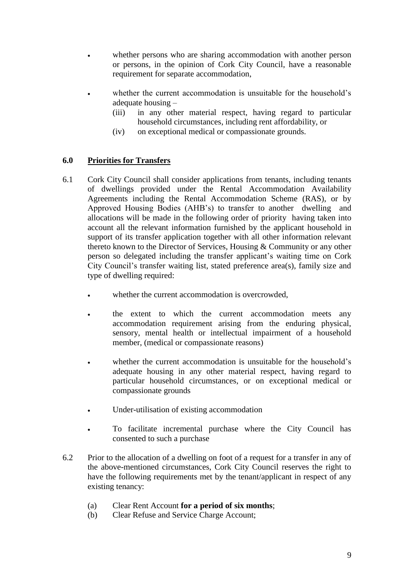- whether persons who are sharing accommodation with another person or persons, in the opinion of Cork City Council, have a reasonable requirement for separate accommodation,
- whether the current accommodation is unsuitable for the household's adequate housing –
	- (iii) in any other material respect, having regard to particular household circumstances, including rent affordability, or
	- (iv) on exceptional medical or compassionate grounds.

# **6.0 Priorities for Transfers**

- 6.1 Cork City Council shall consider applications from tenants, including tenants of dwellings provided under the Rental Accommodation Availability Agreements including the Rental Accommodation Scheme (RAS), or by Approved Housing Bodies (AHB's) to transfer to another dwelling and allocations will be made in the following order of priority having taken into account all the relevant information furnished by the applicant household in support of its transfer application together with all other information relevant thereto known to the Director of Services, Housing & Community or any other person so delegated including the transfer applicant's waiting time on Cork City Council's transfer waiting list, stated preference area(s), family size and type of dwelling required:
	- whether the current accommodation is overcrowded,
	- the extent to which the current accommodation meets any accommodation requirement arising from the enduring physical, sensory, mental health or intellectual impairment of a household member, (medical or compassionate reasons)
	- whether the current accommodation is unsuitable for the household's adequate housing in any other material respect, having regard to particular household circumstances, or on exceptional medical or compassionate grounds
	- Under-utilisation of existing accommodation
	- To facilitate incremental purchase where the City Council has consented to such a purchase
- 6.2 Prior to the allocation of a dwelling on foot of a request for a transfer in any of the above-mentioned circumstances, Cork City Council reserves the right to have the following requirements met by the tenant/applicant in respect of any existing tenancy:
	- (a) Clear Rent Account **for a period of six months**;
	- (b) Clear Refuse and Service Charge Account;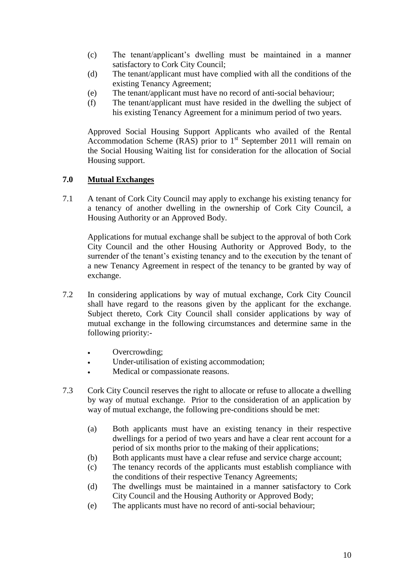- (c) The tenant/applicant's dwelling must be maintained in a manner satisfactory to Cork City Council;
- (d) The tenant/applicant must have complied with all the conditions of the existing Tenancy Agreement;
- (e) The tenant/applicant must have no record of anti-social behaviour;
- (f) The tenant/applicant must have resided in the dwelling the subject of his existing Tenancy Agreement for a minimum period of two years.

Approved Social Housing Support Applicants who availed of the Rental Accommodation Scheme (RAS) prior to  $1<sup>st</sup>$  September 2011 will remain on the Social Housing Waiting list for consideration for the allocation of Social Housing support.

# **7.0 Mutual Exchanges**

7.1 A tenant of Cork City Council may apply to exchange his existing tenancy for a tenancy of another dwelling in the ownership of Cork City Council, a Housing Authority or an Approved Body.

Applications for mutual exchange shall be subject to the approval of both Cork City Council and the other Housing Authority or Approved Body, to the surrender of the tenant's existing tenancy and to the execution by the tenant of a new Tenancy Agreement in respect of the tenancy to be granted by way of exchange.

- 7.2 In considering applications by way of mutual exchange, Cork City Council shall have regard to the reasons given by the applicant for the exchange. Subject thereto, Cork City Council shall consider applications by way of mutual exchange in the following circumstances and determine same in the following priority:-
	- Overcrowding;
	- Under-utilisation of existing accommodation;
	- Medical or compassionate reasons.
- 7.3 Cork City Council reserves the right to allocate or refuse to allocate a dwelling by way of mutual exchange. Prior to the consideration of an application by way of mutual exchange, the following pre-conditions should be met:
	- (a) Both applicants must have an existing tenancy in their respective dwellings for a period of two years and have a clear rent account for a period of six months prior to the making of their applications;
	- (b) Both applicants must have a clear refuse and service charge account;
	- (c) The tenancy records of the applicants must establish compliance with the conditions of their respective Tenancy Agreements;
	- (d) The dwellings must be maintained in a manner satisfactory to Cork City Council and the Housing Authority or Approved Body;
	- (e) The applicants must have no record of anti-social behaviour;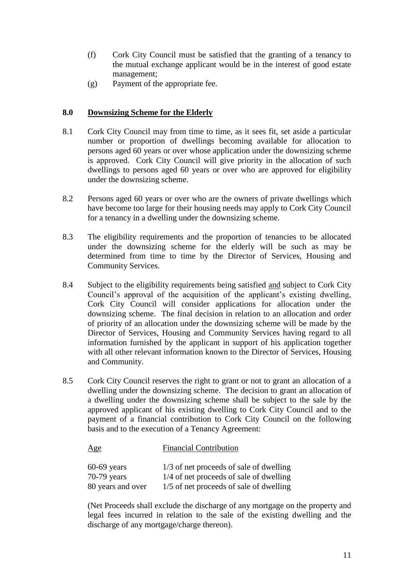- (f) Cork City Council must be satisfied that the granting of a tenancy to the mutual exchange applicant would be in the interest of good estate management;
- (g) Payment of the appropriate fee.

# **8.0 Downsizing Scheme for the Elderly**

- 8.1 Cork City Council may from time to time, as it sees fit, set aside a particular number or proportion of dwellings becoming available for allocation to persons aged 60 years or over whose application under the downsizing scheme is approved. Cork City Council will give priority in the allocation of such dwellings to persons aged 60 years or over who are approved for eligibility under the downsizing scheme.
- 8.2 Persons aged 60 years or over who are the owners of private dwellings which have become too large for their housing needs may apply to Cork City Council for a tenancy in a dwelling under the downsizing scheme.
- 8.3 The eligibility requirements and the proportion of tenancies to be allocated under the downsizing scheme for the elderly will be such as may be determined from time to time by the Director of Services, Housing and Community Services.
- 8.4 Subject to the eligibility requirements being satisfied and subject to Cork City Council's approval of the acquisition of the applicant's existing dwelling, Cork City Council will consider applications for allocation under the downsizing scheme. The final decision in relation to an allocation and order of priority of an allocation under the downsizing scheme will be made by the Director of Services, Housing and Community Services having regard to all information furnished by the applicant in support of his application together with all other relevant information known to the Director of Services, Housing and Community.
- 8.5 Cork City Council reserves the right to grant or not to grant an allocation of a dwelling under the downsizing scheme. The decision to grant an allocation of a dwelling under the downsizing scheme shall be subject to the sale by the approved applicant of his existing dwelling to Cork City Council and to the payment of a financial contribution to Cork City Council on the following basis and to the execution of a Tenancy Agreement:

| Age               | <b>Financial Contribution</b>           |
|-------------------|-----------------------------------------|
| $60-69$ years     | 1/3 of net proceeds of sale of dwelling |
| $70-79$ years     | 1/4 of net proceeds of sale of dwelling |
| 80 years and over | 1/5 of net proceeds of sale of dwelling |

(Net Proceeds shall exclude the discharge of any mortgage on the property and legal fees incurred in relation to the sale of the existing dwelling and the discharge of any mortgage/charge thereon).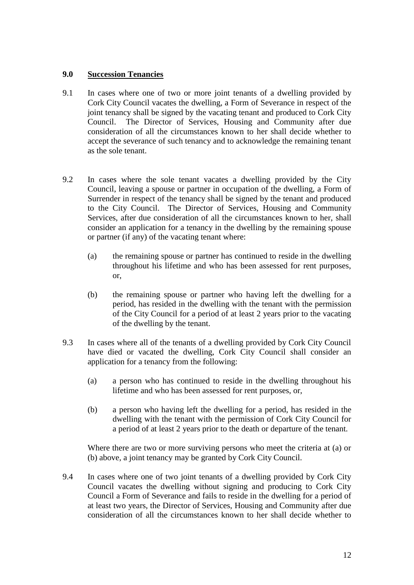#### **9.0 Succession Tenancies**

- 9.1 In cases where one of two or more joint tenants of a dwelling provided by Cork City Council vacates the dwelling, a Form of Severance in respect of the joint tenancy shall be signed by the vacating tenant and produced to Cork City Council. The Director of Services, Housing and Community after due consideration of all the circumstances known to her shall decide whether to accept the severance of such tenancy and to acknowledge the remaining tenant as the sole tenant.
- 9.2 In cases where the sole tenant vacates a dwelling provided by the City Council, leaving a spouse or partner in occupation of the dwelling, a Form of Surrender in respect of the tenancy shall be signed by the tenant and produced to the City Council. The Director of Services, Housing and Community Services, after due consideration of all the circumstances known to her, shall consider an application for a tenancy in the dwelling by the remaining spouse or partner (if any) of the vacating tenant where:
	- (a) the remaining spouse or partner has continued to reside in the dwelling throughout his lifetime and who has been assessed for rent purposes, or,
	- (b) the remaining spouse or partner who having left the dwelling for a period, has resided in the dwelling with the tenant with the permission of the City Council for a period of at least 2 years prior to the vacating of the dwelling by the tenant.
- 9.3 In cases where all of the tenants of a dwelling provided by Cork City Council have died or vacated the dwelling, Cork City Council shall consider an application for a tenancy from the following:
	- (a) a person who has continued to reside in the dwelling throughout his lifetime and who has been assessed for rent purposes, or,
	- (b) a person who having left the dwelling for a period, has resided in the dwelling with the tenant with the permission of Cork City Council for a period of at least 2 years prior to the death or departure of the tenant.

Where there are two or more surviving persons who meet the criteria at (a) or (b) above, a joint tenancy may be granted by Cork City Council.

9.4 In cases where one of two joint tenants of a dwelling provided by Cork City Council vacates the dwelling without signing and producing to Cork City Council a Form of Severance and fails to reside in the dwelling for a period of at least two years, the Director of Services, Housing and Community after due consideration of all the circumstances known to her shall decide whether to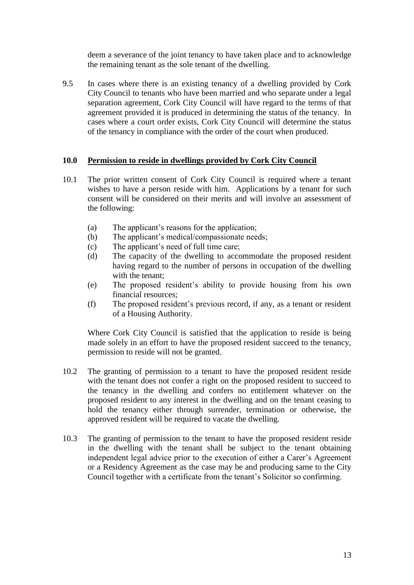deem a severance of the joint tenancy to have taken place and to acknowledge the remaining tenant as the sole tenant of the dwelling.

9.5 In cases where there is an existing tenancy of a dwelling provided by Cork City Council to tenants who have been married and who separate under a legal separation agreement, Cork City Council will have regard to the terms of that agreement provided it is produced in determining the status of the tenancy. In cases where a court order exists, Cork City Council will determine the status of the tenancy in compliance with the order of the court when produced.

#### **10.0 Permission to reside in dwellings provided by Cork City Council**

- 10.1 The prior written consent of Cork City Council is required where a tenant wishes to have a person reside with him. Applications by a tenant for such consent will be considered on their merits and will involve an assessment of the following:
	- (a) The applicant's reasons for the application;
	- (b) The applicant's medical/compassionate needs;
	- (c) The applicant's need of full time care;
	- (d) The capacity of the dwelling to accommodate the proposed resident having regard to the number of persons in occupation of the dwelling with the tenant:
	- (e) The proposed resident's ability to provide housing from his own financial resources;
	- (f) The proposed resident's previous record, if any, as a tenant or resident of a Housing Authority.

Where Cork City Council is satisfied that the application to reside is being made solely in an effort to have the proposed resident succeed to the tenancy, permission to reside will not be granted.

- 10.2 The granting of permission to a tenant to have the proposed resident reside with the tenant does not confer a right on the proposed resident to succeed to the tenancy in the dwelling and confers no entitlement whatever on the proposed resident to any interest in the dwelling and on the tenant ceasing to hold the tenancy either through surrender, termination or otherwise, the approved resident will be required to vacate the dwelling.
- 10.3 The granting of permission to the tenant to have the proposed resident reside in the dwelling with the tenant shall be subject to the tenant obtaining independent legal advice prior to the execution of either a Carer's Agreement or a Residency Agreement as the case may be and producing same to the City Council together with a certificate from the tenant's Solicitor so confirming.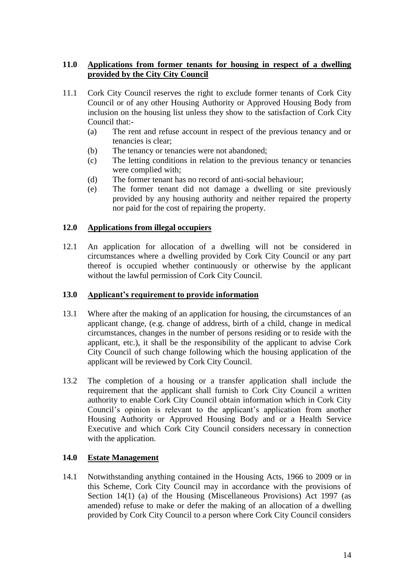# **11.0 Applications from former tenants for housing in respect of a dwelling provided by the City City Council**

- 11.1 Cork City Council reserves the right to exclude former tenants of Cork City Council or of any other Housing Authority or Approved Housing Body from inclusion on the housing list unless they show to the satisfaction of Cork City Council that:-
	- (a) The rent and refuse account in respect of the previous tenancy and or tenancies is clear;
	- (b) The tenancy or tenancies were not abandoned;
	- (c) The letting conditions in relation to the previous tenancy or tenancies were complied with;
	- (d) The former tenant has no record of anti-social behaviour;
	- (e) The former tenant did not damage a dwelling or site previously provided by any housing authority and neither repaired the property nor paid for the cost of repairing the property.

#### **12.0 Applications from illegal occupiers**

12.1 An application for allocation of a dwelling will not be considered in circumstances where a dwelling provided by Cork City Council or any part thereof is occupied whether continuously or otherwise by the applicant without the lawful permission of Cork City Council.

# **13.0 Applicant's requirement to provide information**

- 13.1 Where after the making of an application for housing, the circumstances of an applicant change, (e.g. change of address, birth of a child, change in medical circumstances, changes in the number of persons residing or to reside with the applicant, etc.), it shall be the responsibility of the applicant to advise Cork City Council of such change following which the housing application of the applicant will be reviewed by Cork City Council.
- 13.2 The completion of a housing or a transfer application shall include the requirement that the applicant shall furnish to Cork City Council a written authority to enable Cork City Council obtain information which in Cork City Council's opinion is relevant to the applicant's application from another Housing Authority or Approved Housing Body and or a Health Service Executive and which Cork City Council considers necessary in connection with the application.

# **14.0 Estate Management**

14.1 Notwithstanding anything contained in the Housing Acts, 1966 to 2009 or in this Scheme, Cork City Council may in accordance with the provisions of Section 14(1) (a) of the Housing (Miscellaneous Provisions) Act 1997 (as amended) refuse to make or defer the making of an allocation of a dwelling provided by Cork City Council to a person where Cork City Council considers